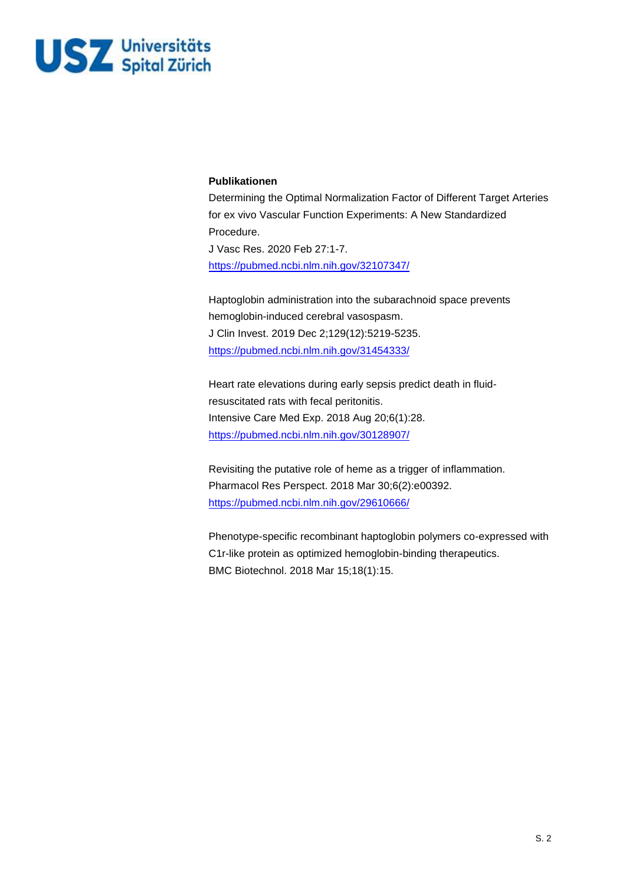

#### **Publikationen**

Determining the Optimal Normalization Factor of Different Target Arteries for ex vivo Vascular Function Experiments: A New Standardized Procedure. J Vasc Res. 2020 Feb 27:1-7. https://pubmed.ncbi.nlm.nih.gov/32107347/

Haptoglobin administration into the subarachnoid space prevents hemoglobin-induced cerebral vasospasm. J Clin Invest. 2019 Dec 2;129(12):5219-5235. https://pubmed.ncbi.nlm.nih.gov/31454333/

Heart rate elevations during early sepsis predict death in fluidresuscitated rats with fecal peritonitis. Intensive Care Med Exp. 2018 Aug 20;6(1):28. https://pubmed.ncbi.nlm.nih.gov/30128907/

[Revisiting the putative role of heme as a trig](https://pubmed.ncbi.nlm.nih.gov/32107347/)ger of inflammation. Pharmacol Res Perspect. 2018 Mar 30;6(2):e00392. https://pubmed.ncbi.nlm.nih.gov/29610666/

Phenotype-specific recombinant haptoglobin polymers co-expressed with [C1r-like protein as optimized hemoglobin-bin](https://pubmed.ncbi.nlm.nih.gov/31454333/)ding therapeutics. BMC Biotechnol. 2018 Mar 15;18(1):15.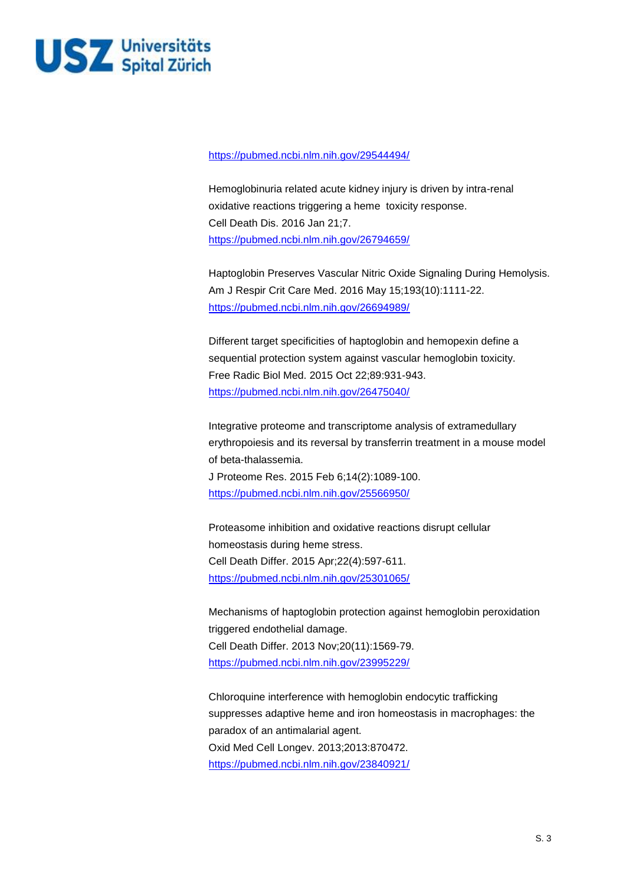

#### <https://pubmed.ncbi.nlm.nih.gov/29544494/>

Hemoglobinuria related acute kidney injury is driven by intra-renal oxidative reactions triggering a heme toxicity response. Cell Death Dis. 2016 Jan 21;7. <https://pubmed.ncbi.nlm.nih.gov/26794659/>

Haptoglobin Preserves Vascular Nitric Oxide Signaling During Hemolysis. Am J Respir Crit Care Med. 2016 May 15;193(10):1111-22. <https://pubmed.ncbi.nlm.nih.gov/26694989/>

Different target specificities of haptoglobin and hemopexin define a sequential protection system against vascular hemoglobin toxicity. Free Radic Biol Med. 2015 Oct 22;89:931-943. <https://pubmed.ncbi.nlm.nih.gov/26475040/>

Integrative proteome and transcriptome analysis of extramedullary erythropoiesis and its reversal by transferrin treatment in a mouse model of beta-thalassemia.

J Proteome Res. 2015 Feb 6;14(2):1089-100. <https://pubmed.ncbi.nlm.nih.gov/25566950/>

Proteasome inhibition and oxidative reactions disrupt cellular homeostasis during heme stress. Cell Death Differ. 2015 Apr;22(4):597-611. <https://pubmed.ncbi.nlm.nih.gov/25301065/>

Mechanisms of haptoglobin protection against hemoglobin peroxidation triggered endothelial damage. Cell Death Differ. 2013 Nov;20(11):1569-79. <https://pubmed.ncbi.nlm.nih.gov/23995229/>

Chloroquine interference with hemoglobin endocytic trafficking suppresses adaptive heme and iron homeostasis in macrophages: the paradox of an antimalarial agent. Oxid Med Cell Longev. 2013;2013:870472. <https://pubmed.ncbi.nlm.nih.gov/23840921/>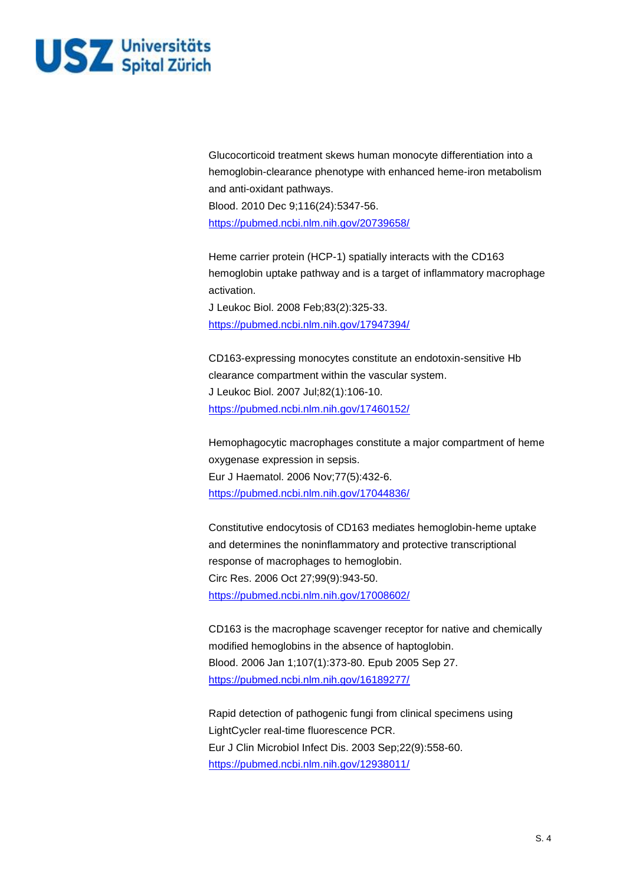

Glucocorticoid treatment skews human monocyte differentiation into a hemoglobin-clearance phenotype with enhanced heme-iron metabolism and anti-oxidant pathways. Blood. 2010 Dec 9;116(24):5347-56. <https://pubmed.ncbi.nlm.nih.gov/20739658/>

Heme carrier protein (HCP-1) spatially interacts with the CD163 hemoglobin uptake pathway and is a target of inflammatory macrophage activation. J Leukoc Biol. 2008 Feb;83(2):325-33.

<https://pubmed.ncbi.nlm.nih.gov/17947394/>

CD163-expressing monocytes constitute an endotoxin-sensitive Hb clearance compartment within the vascular system. J Leukoc Biol. 2007 Jul;82(1):106-10. <https://pubmed.ncbi.nlm.nih.gov/17460152/>

Hemophagocytic macrophages constitute a major compartment of heme oxygenase expression in sepsis. Eur J Haematol. 2006 Nov;77(5):432-6. <https://pubmed.ncbi.nlm.nih.gov/17044836/>

Constitutive endocytosis of CD163 mediates hemoglobin-heme uptake and determines the noninflammatory and protective transcriptional response of macrophages to hemoglobin. Circ Res. 2006 Oct 27;99(9):943-50. <https://pubmed.ncbi.nlm.nih.gov/17008602/>

CD163 is the macrophage scavenger receptor for native and chemically modified hemoglobins in the absence of haptoglobin. Blood. 2006 Jan 1;107(1):373-80. Epub 2005 Sep 27. <https://pubmed.ncbi.nlm.nih.gov/16189277/>

Rapid detection of pathogenic fungi from clinical specimens using LightCycler real-time fluorescence PCR. Eur J Clin Microbiol Infect Dis. 2003 Sep;22(9):558-60. <https://pubmed.ncbi.nlm.nih.gov/12938011/>